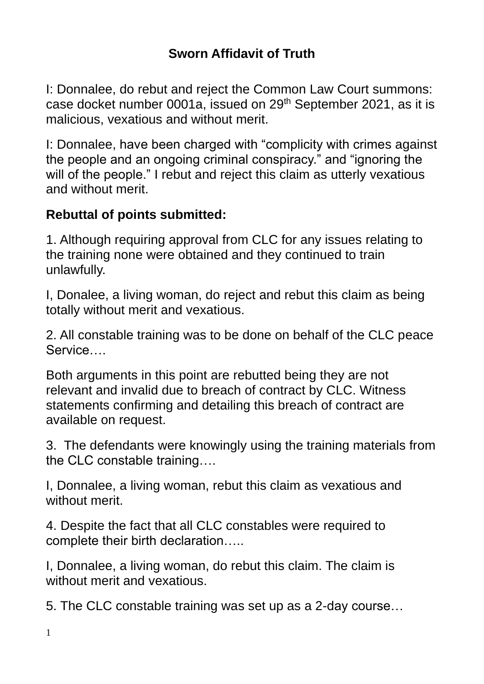## **Sworn Affidavit of Truth**

I: Donnalee, do rebut and reject the Common Law Court summons: case docket number 0001a, issued on 29th September 2021, as it is malicious, vexatious and without merit.

I: Donnalee, have been charged with "complicity with crimes against the people and an ongoing criminal conspiracy." and "ignoring the will of the people." I rebut and reject this claim as utterly vexatious and without merit.

## **Rebuttal of points submitted:**

1. Although requiring approval from CLC for any issues relating to the training none were obtained and they continued to train unlawfully.

I, Donalee, a living woman, do reject and rebut this claim as being totally without merit and vexatious.

2. All constable training was to be done on behalf of the CLC peace Service….

Both arguments in this point are rebutted being they are not relevant and invalid due to breach of contract by CLC. Witness statements confirming and detailing this breach of contract are available on request.

3. The defendants were knowingly using the training materials from the CLC constable training….

I, Donnalee, a living woman, rebut this claim as vexatious and without merit.

4. Despite the fact that all CLC constables were required to complete their birth declaration…..

I, Donnalee, a living woman, do rebut this claim. The claim is without merit and vexatious.

5. The CLC constable training was set up as a 2-day course…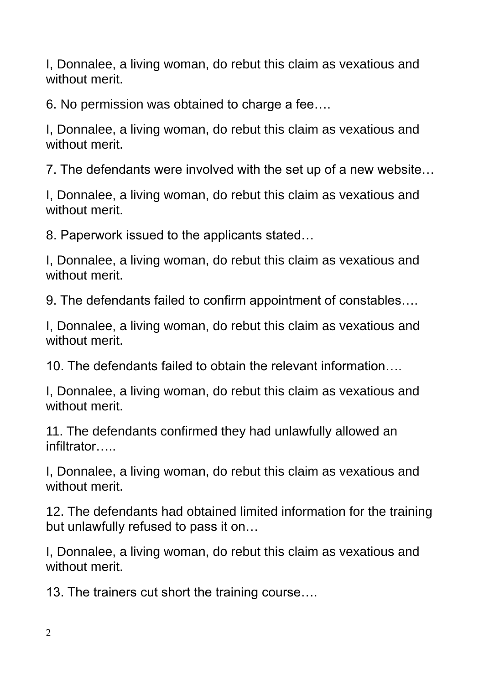I, Donnalee, a living woman, do rebut this claim as vexatious and without merit

6. No permission was obtained to charge a fee….

I, Donnalee, a living woman, do rebut this claim as vexatious and without merit.

7. The defendants were involved with the set up of a new website…

I, Donnalee, a living woman, do rebut this claim as vexatious and without merit

8. Paperwork issued to the applicants stated…

I, Donnalee, a living woman, do rebut this claim as vexatious and without merit.

9. The defendants failed to confirm appointment of constables….

I, Donnalee, a living woman, do rebut this claim as vexatious and without merit.

10. The defendants failed to obtain the relevant information….

I, Donnalee, a living woman, do rebut this claim as vexatious and without merit.

11. The defendants confirmed they had unlawfully allowed an infiltrator…..

I, Donnalee, a living woman, do rebut this claim as vexatious and without merit.

12. The defendants had obtained limited information for the training but unlawfully refused to pass it on…

I, Donnalee, a living woman, do rebut this claim as vexatious and without merit.

13. The trainers cut short the training course….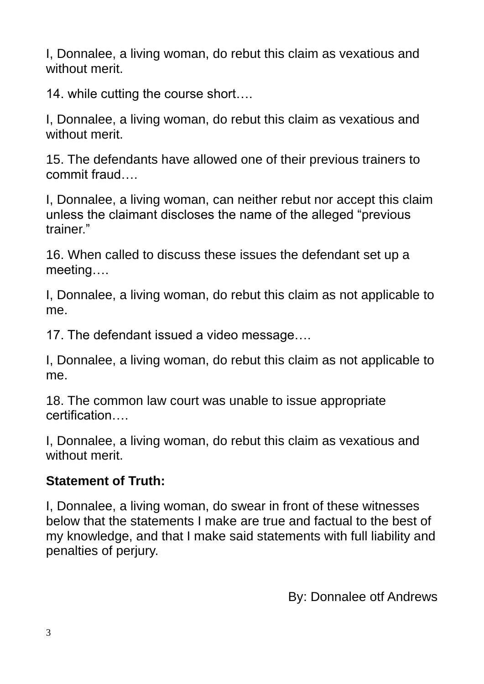I, Donnalee, a living woman, do rebut this claim as vexatious and without merit.

14. while cutting the course short….

I, Donnalee, a living woman, do rebut this claim as vexatious and without merit.

15. The defendants have allowed one of their previous trainers to commit fraud….

I, Donnalee, a living woman, can neither rebut nor accept this claim unless the claimant discloses the name of the alleged "previous trainer."

16. When called to discuss these issues the defendant set up a meeting….

I, Donnalee, a living woman, do rebut this claim as not applicable to me.

17. The defendant issued a video message….

I, Donnalee, a living woman, do rebut this claim as not applicable to me.

18. The common law court was unable to issue appropriate certification….

I, Donnalee, a living woman, do rebut this claim as vexatious and without merit.

## **Statement of Truth:**

I, Donnalee, a living woman, do swear in front of these witnesses below that the statements I make are true and factual to the best of my knowledge, and that I make said statements with full liability and penalties of perjury.

By: Donnalee otf Andrews